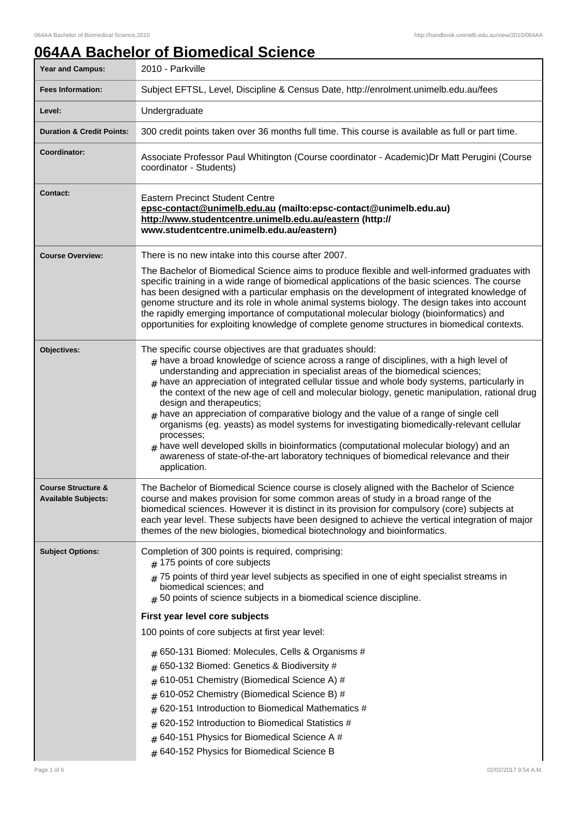# **064AA Bachelor of Biomedical Science**

| <b>Year and Campus:</b>                                     | 2010 - Parkville                                                                                                                                                                                                                                                                                                                                                                                                                                                                                                                                                                                                                                                                                                                                                                                                                                                                                   |
|-------------------------------------------------------------|----------------------------------------------------------------------------------------------------------------------------------------------------------------------------------------------------------------------------------------------------------------------------------------------------------------------------------------------------------------------------------------------------------------------------------------------------------------------------------------------------------------------------------------------------------------------------------------------------------------------------------------------------------------------------------------------------------------------------------------------------------------------------------------------------------------------------------------------------------------------------------------------------|
| <b>Fees Information:</b>                                    | Subject EFTSL, Level, Discipline & Census Date, http://enrolment.unimelb.edu.au/fees                                                                                                                                                                                                                                                                                                                                                                                                                                                                                                                                                                                                                                                                                                                                                                                                               |
| Level:                                                      | Undergraduate                                                                                                                                                                                                                                                                                                                                                                                                                                                                                                                                                                                                                                                                                                                                                                                                                                                                                      |
| <b>Duration &amp; Credit Points:</b>                        | 300 credit points taken over 36 months full time. This course is available as full or part time.                                                                                                                                                                                                                                                                                                                                                                                                                                                                                                                                                                                                                                                                                                                                                                                                   |
| Coordinator:                                                | Associate Professor Paul Whitington (Course coordinator - Academic) Dr Matt Perugini (Course<br>coordinator - Students)                                                                                                                                                                                                                                                                                                                                                                                                                                                                                                                                                                                                                                                                                                                                                                            |
| <b>Contact:</b>                                             | <b>Eastern Precinct Student Centre</b><br>epsc-contact@unimelb.edu.au (mailto:epsc-contact@unimelb.edu.au)<br>http://www.studentcentre.unimelb.edu.au/eastern (http://<br>www.studentcentre.unimelb.edu.au/eastern)                                                                                                                                                                                                                                                                                                                                                                                                                                                                                                                                                                                                                                                                                |
| <b>Course Overview:</b>                                     | There is no new intake into this course after 2007.                                                                                                                                                                                                                                                                                                                                                                                                                                                                                                                                                                                                                                                                                                                                                                                                                                                |
|                                                             | The Bachelor of Biomedical Science aims to produce flexible and well-informed graduates with<br>specific training in a wide range of biomedical applications of the basic sciences. The course<br>has been designed with a particular emphasis on the development of integrated knowledge of<br>genome structure and its role in whole animal systems biology. The design takes into account<br>the rapidly emerging importance of computational molecular biology (bioinformatics) and<br>opportunities for exploiting knowledge of complete genome structures in biomedical contexts.                                                                                                                                                                                                                                                                                                            |
| Objectives:                                                 | The specific course objectives are that graduates should:<br>$#$ have a broad knowledge of science across a range of disciplines, with a high level of<br>understanding and appreciation in specialist areas of the biomedical sciences;<br>have an appreciation of integrated cellular tissue and whole body systems, particularly in<br>#<br>the context of the new age of cell and molecular biology, genetic manipulation, rational drug<br>design and therapeutics;<br>$_{\text{\#}}$ have an appreciation of comparative biology and the value of a range of single cell<br>organisms (eg. yeasts) as model systems for investigating biomedically-relevant cellular<br>processes;<br>$_{\#}$ have well developed skills in bioinformatics (computational molecular biology) and an<br>awareness of state-of-the-art laboratory techniques of biomedical relevance and their<br>application. |
| <b>Course Structure &amp;</b><br><b>Available Subjects:</b> | The Bachelor of Biomedical Science course is closely aligned with the Bachelor of Science<br>course and makes provision for some common areas of study in a broad range of the<br>biomedical sciences. However it is distinct in its provision for compulsory (core) subjects at<br>each year level. These subjects have been designed to achieve the vertical integration of major<br>themes of the new biologies, biomedical biotechnology and bioinformatics.                                                                                                                                                                                                                                                                                                                                                                                                                                   |
| <b>Subject Options:</b>                                     | Completion of 300 points is required, comprising:<br>$#$ 175 points of core subjects<br>$#$ 75 points of third year level subjects as specified in one of eight specialist streams in<br>biomedical sciences; and<br>$#$ 50 points of science subjects in a biomedical science discipline.<br>First year level core subjects<br>100 points of core subjects at first year level:<br>$#$ 650-131 Biomed: Molecules, Cells & Organisms #<br>650-132 Biomed: Genetics & Biodiversity #<br>610-051 Chemistry (Biomedical Science A) #<br>#<br>610-052 Chemistry (Biomedical Science B) #<br>#<br>620-151 Introduction to Biomedical Mathematics #<br>#<br>620-152 Introduction to Biomedical Statistics #<br>640-151 Physics for Biomedical Science A #<br>$\pm$<br>$#$ 640-152 Physics for Biomedical Science B                                                                                       |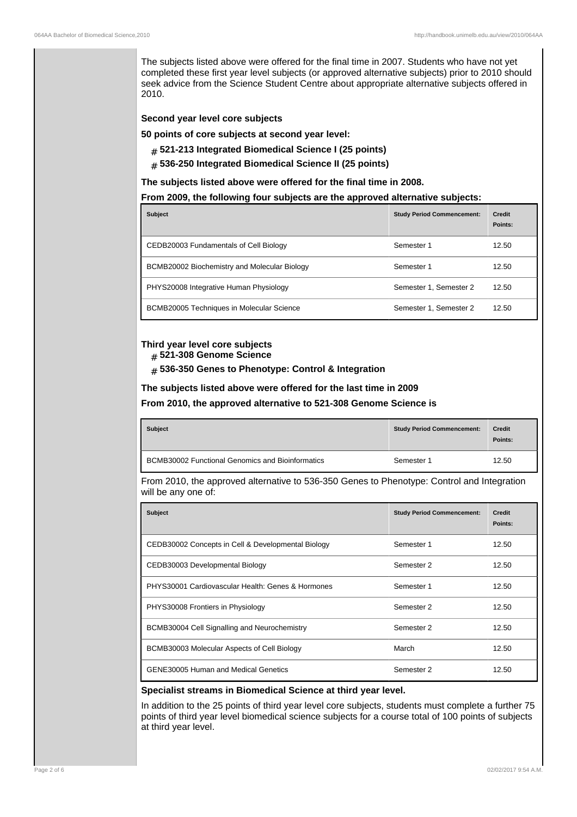The subjects listed above were offered for the final time in 2007. Students who have not yet completed these first year level subjects (or approved alternative subjects) prior to 2010 should seek advice from the Science Student Centre about appropriate alternative subjects offered in 2010.

#### **Second year level core subjects**

**50 points of core subjects at second year level:**

- # **521-213 Integrated Biomedical Science I (25 points)**
- # **536-250 Integrated Biomedical Science II (25 points)**

**The subjects listed above were offered for the final time in 2008.**

#### **From 2009, the following four subjects are the approved alternative subjects:**

| <b>Subject</b>                               | <b>Study Period Commencement:</b> | <b>Credit</b><br>Points: |
|----------------------------------------------|-----------------------------------|--------------------------|
| CEDB20003 Fundamentals of Cell Biology       | Semester 1                        | 12.50                    |
| BCMB20002 Biochemistry and Molecular Biology | Semester 1                        | 12.50                    |
| PHYS20008 Integrative Human Physiology       | Semester 1, Semester 2            | 12.50                    |
| BCMB20005 Techniques in Molecular Science    | Semester 1, Semester 2            | 12.50                    |

## **Third year level core subjects**

- # **521-308 Genome Science**
- # **536-350 Genes to Phenotype: Control & Integration**

#### **The subjects listed above were offered for the last time in 2009**

**From 2010, the approved alternative to 521-308 Genome Science is**

| <b>Subject</b>                                          | <b>Study Period Commencement:</b> | <b>Credit</b><br>Points: |
|---------------------------------------------------------|-----------------------------------|--------------------------|
| <b>BCMB30002 Functional Genomics and Bioinformatics</b> | Semester 1                        | 12.50                    |

From 2010, the approved alternative to 536-350 Genes to Phenotype: Control and Integration will be any one of:

| <b>Subject</b>                                     | <b>Study Period Commencement:</b> | <b>Credit</b><br>Points: |
|----------------------------------------------------|-----------------------------------|--------------------------|
| CEDB30002 Concepts in Cell & Developmental Biology | Semester 1                        | 12.50                    |
| CEDB30003 Developmental Biology                    | Semester 2                        | 12.50                    |
| PHYS30001 Cardiovascular Health: Genes & Hormones  | Semester 1                        | 12.50                    |
| PHYS30008 Frontiers in Physiology                  | Semester 2                        | 12.50                    |
| BCMB30004 Cell Signalling and Neurochemistry       | Semester 2                        | 12.50                    |
| BCMB30003 Molecular Aspects of Cell Biology        | March                             | 12.50                    |
| <b>GENE30005 Human and Medical Genetics</b>        | Semester 2                        | 12.50                    |

#### **Specialist streams in Biomedical Science at third year level.**

In addition to the 25 points of third year level core subjects, students must complete a further 75 points of third year level biomedical science subjects for a course total of 100 points of subjects at third year level.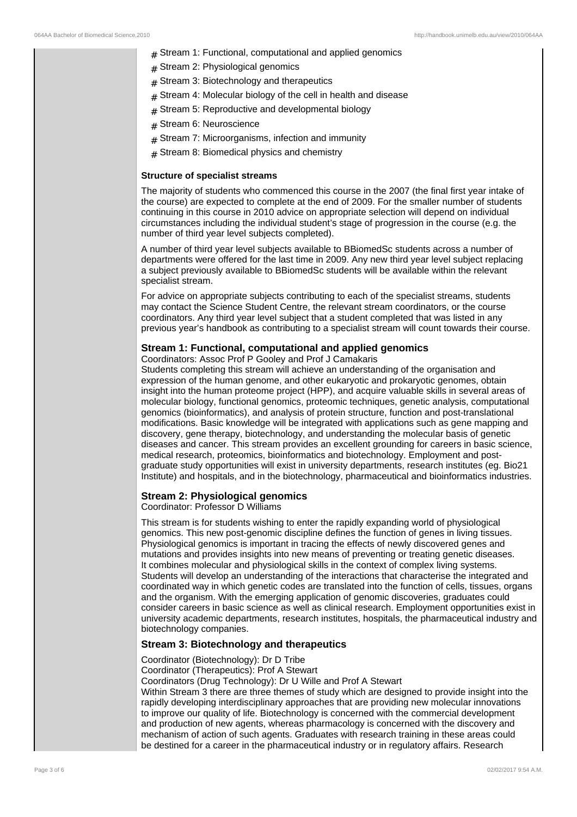- $#$  Stream 1: Functional, computational and applied genomics
- $#$  Stream 2: Physiological genomics
- $#$  Stream 3: Biotechnology and therapeutics
- $#$  Stream 4: Molecular biology of the cell in health and disease
- $#$  Stream 5: Reproductive and developmental biology
- # Stream 6: Neuroscience
- $#$  Stream 7: Microorganisms, infection and immunity
- $#$  Stream 8: Biomedical physics and chemistry

#### **Structure of specialist streams**

The majority of students who commenced this course in the 2007 (the final first year intake of the course) are expected to complete at the end of 2009. For the smaller number of students continuing in this course in 2010 advice on appropriate selection will depend on individual circumstances including the individual student's stage of progression in the course (e.g. the number of third year level subjects completed).

A number of third year level subjects available to BBiomedSc students across a number of departments were offered for the last time in 2009. Any new third year level subject replacing a subject previously available to BBiomedSc students will be available within the relevant specialist stream.

For advice on appropriate subjects contributing to each of the specialist streams, students may contact the Science Student Centre, the relevant stream coordinators, or the course coordinators. Any third year level subject that a student completed that was listed in any previous year's handbook as contributing to a specialist stream will count towards their course.

#### **Stream 1: Functional, computational and applied genomics**

Coordinators: Assoc Prof P Gooley and Prof J Camakaris

Students completing this stream will achieve an understanding of the organisation and expression of the human genome, and other eukaryotic and prokaryotic genomes, obtain insight into the human proteome project (HPP), and acquire valuable skills in several areas of molecular biology, functional genomics, proteomic techniques, genetic analysis, computational genomics (bioinformatics), and analysis of protein structure, function and post-translational modifications. Basic knowledge will be integrated with applications such as gene mapping and discovery, gene therapy, biotechnology, and understanding the molecular basis of genetic diseases and cancer. This stream provides an excellent grounding for careers in basic science, medical research, proteomics, bioinformatics and biotechnology. Employment and postgraduate study opportunities will exist in university departments, research institutes (eg. Bio21 Institute) and hospitals, and in the biotechnology, pharmaceutical and bioinformatics industries.

#### **Stream 2: Physiological genomics**

Coordinator: Professor D Williams

This stream is for students wishing to enter the rapidly expanding world of physiological genomics. This new post-genomic discipline defines the function of genes in living tissues. Physiological genomics is important in tracing the effects of newly discovered genes and mutations and provides insights into new means of preventing or treating genetic diseases. It combines molecular and physiological skills in the context of complex living systems. Students will develop an understanding of the interactions that characterise the integrated and coordinated way in which genetic codes are translated into the function of cells, tissues, organs and the organism. With the emerging application of genomic discoveries, graduates could consider careers in basic science as well as clinical research. Employment opportunities exist in university academic departments, research institutes, hospitals, the pharmaceutical industry and biotechnology companies.

#### **Stream 3: Biotechnology and therapeutics**

Coordinator (Biotechnology): Dr D Tribe

Coordinator (Therapeutics): Prof A Stewart

Coordinators (Drug Technology): Dr U Wille and Prof A Stewart

Within Stream 3 there are three themes of study which are designed to provide insight into the rapidly developing interdisciplinary approaches that are providing new molecular innovations to improve our quality of life. Biotechnology is concerned with the commercial development and production of new agents, whereas pharmacology is concerned with the discovery and mechanism of action of such agents. Graduates with research training in these areas could be destined for a career in the pharmaceutical industry or in regulatory affairs. Research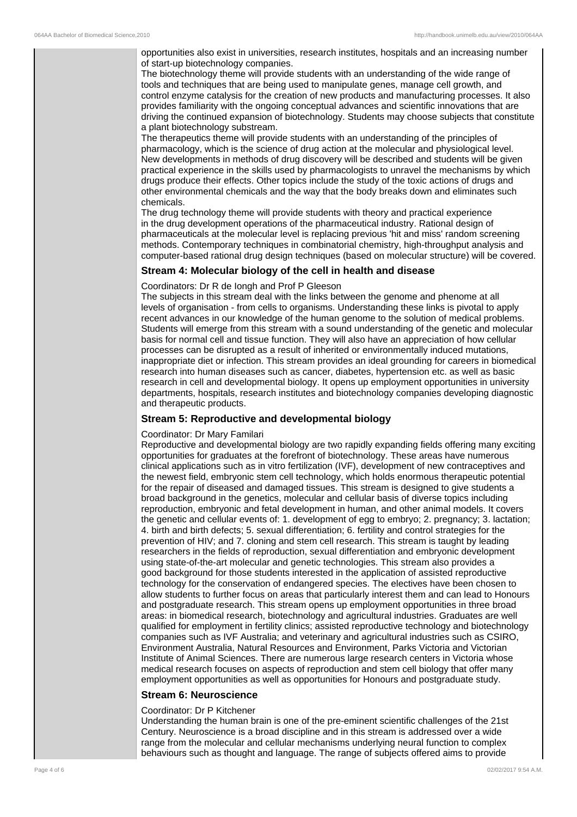opportunities also exist in universities, research institutes, hospitals and an increasing number of start-up biotechnology companies.

The biotechnology theme will provide students with an understanding of the wide range of tools and techniques that are being used to manipulate genes, manage cell growth, and control enzyme catalysis for the creation of new products and manufacturing processes. It also provides familiarity with the ongoing conceptual advances and scientific innovations that are driving the continued expansion of biotechnology. Students may choose subjects that constitute a plant biotechnology substream.

The therapeutics theme will provide students with an understanding of the principles of pharmacology, which is the science of drug action at the molecular and physiological level. New developments in methods of drug discovery will be described and students will be given practical experience in the skills used by pharmacologists to unravel the mechanisms by which drugs produce their effects. Other topics include the study of the toxic actions of drugs and other environmental chemicals and the way that the body breaks down and eliminates such chemicals.

The drug technology theme will provide students with theory and practical experience in the drug development operations of the pharmaceutical industry. Rational design of pharmaceuticals at the molecular level is replacing previous 'hit and miss' random screening methods. Contemporary techniques in combinatorial chemistry, high-throughput analysis and computer-based rational drug design techniques (based on molecular structure) will be covered.

### **Stream 4: Molecular biology of the cell in health and disease**

#### Coordinators: Dr R de Iongh and Prof P Gleeson

The subjects in this stream deal with the links between the genome and phenome at all levels of organisation - from cells to organisms. Understanding these links is pivotal to apply recent advances in our knowledge of the human genome to the solution of medical problems. Students will emerge from this stream with a sound understanding of the genetic and molecular basis for normal cell and tissue function. They will also have an appreciation of how cellular processes can be disrupted as a result of inherited or environmentally induced mutations, inappropriate diet or infection. This stream provides an ideal grounding for careers in biomedical research into human diseases such as cancer, diabetes, hypertension etc. as well as basic research in cell and developmental biology. It opens up employment opportunities in university departments, hospitals, research institutes and biotechnology companies developing diagnostic and therapeutic products.

#### **Stream 5: Reproductive and developmental biology**

#### Coordinator: Dr Mary Familari

Reproductive and developmental biology are two rapidly expanding fields offering many exciting opportunities for graduates at the forefront of biotechnology. These areas have numerous clinical applications such as in vitro fertilization (IVF), development of new contraceptives and the newest field, embryonic stem cell technology, which holds enormous therapeutic potential for the repair of diseased and damaged tissues. This stream is designed to give students a broad background in the genetics, molecular and cellular basis of diverse topics including reproduction, embryonic and fetal development in human, and other animal models. It covers the genetic and cellular events of: 1. development of egg to embryo; 2. pregnancy; 3. lactation; 4. birth and birth defects; 5. sexual differentiation; 6. fertility and control strategies for the prevention of HIV; and 7. cloning and stem cell research. This stream is taught by leading researchers in the fields of reproduction, sexual differentiation and embryonic development using state-of-the-art molecular and genetic technologies. This stream also provides a good background for those students interested in the application of assisted reproductive technology for the conservation of endangered species. The electives have been chosen to allow students to further focus on areas that particularly interest them and can lead to Honours and postgraduate research. This stream opens up employment opportunities in three broad areas: in biomedical research, biotechnology and agricultural industries. Graduates are well qualified for employment in fertility clinics; assisted reproductive technology and biotechnology companies such as IVF Australia; and veterinary and agricultural industries such as CSIRO, Environment Australia, Natural Resources and Environment, Parks Victoria and Victorian Institute of Animal Sciences. There are numerous large research centers in Victoria whose medical research focuses on aspects of reproduction and stem cell biology that offer many employment opportunities as well as opportunities for Honours and postgraduate study.

## **Stream 6: Neuroscience**

#### Coordinator: Dr P Kitchener

Understanding the human brain is one of the pre-eminent scientific challenges of the 21st Century. Neuroscience is a broad discipline and in this stream is addressed over a wide range from the molecular and cellular mechanisms underlying neural function to complex behaviours such as thought and language. The range of subjects offered aims to provide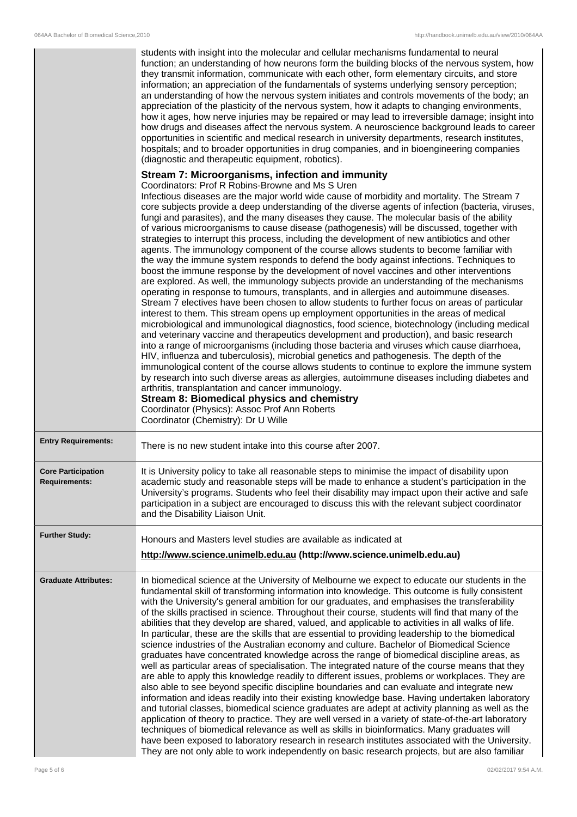|                                                   | students with insight into the molecular and cellular mechanisms fundamental to neural<br>function; an understanding of how neurons form the building blocks of the nervous system, how<br>they transmit information, communicate with each other, form elementary circuits, and store<br>information; an appreciation of the fundamentals of systems underlying sensory perception;<br>an understanding of how the nervous system initiates and controls movements of the body; an<br>appreciation of the plasticity of the nervous system, how it adapts to changing environments,<br>how it ages, how nerve injuries may be repaired or may lead to irreversible damage; insight into<br>how drugs and diseases affect the nervous system. A neuroscience background leads to career<br>opportunities in scientific and medical research in university departments, research institutes,<br>hospitals; and to broader opportunities in drug companies, and in bioengineering companies<br>(diagnostic and therapeutic equipment, robotics).                                                                                                                                                                                                                                                                                                                                                                                                                                                                                                                                                                                                                                                                                                                                                                                                                                                                                                                                                                                                            |
|---------------------------------------------------|-----------------------------------------------------------------------------------------------------------------------------------------------------------------------------------------------------------------------------------------------------------------------------------------------------------------------------------------------------------------------------------------------------------------------------------------------------------------------------------------------------------------------------------------------------------------------------------------------------------------------------------------------------------------------------------------------------------------------------------------------------------------------------------------------------------------------------------------------------------------------------------------------------------------------------------------------------------------------------------------------------------------------------------------------------------------------------------------------------------------------------------------------------------------------------------------------------------------------------------------------------------------------------------------------------------------------------------------------------------------------------------------------------------------------------------------------------------------------------------------------------------------------------------------------------------------------------------------------------------------------------------------------------------------------------------------------------------------------------------------------------------------------------------------------------------------------------------------------------------------------------------------------------------------------------------------------------------------------------------------------------------------------------------------------------------|
|                                                   | Stream 7: Microorganisms, infection and immunity<br>Coordinators: Prof R Robins-Browne and Ms S Uren<br>Infectious diseases are the major world wide cause of morbidity and mortality. The Stream 7<br>core subjects provide a deep understanding of the diverse agents of infection (bacteria, viruses,<br>fungi and parasites), and the many diseases they cause. The molecular basis of the ability<br>of various microorganisms to cause disease (pathogenesis) will be discussed, together with<br>strategies to interrupt this process, including the development of new antibiotics and other<br>agents. The immunology component of the course allows students to become familiar with<br>the way the immune system responds to defend the body against infections. Techniques to<br>boost the immune response by the development of novel vaccines and other interventions<br>are explored. As well, the immunology subjects provide an understanding of the mechanisms<br>operating in response to tumours, transplants, and in allergies and autoimmune diseases.<br>Stream 7 electives have been chosen to allow students to further focus on areas of particular<br>interest to them. This stream opens up employment opportunities in the areas of medical<br>microbiological and immunological diagnostics, food science, biotechnology (including medical<br>and veterinary vaccine and therapeutics development and production), and basic research<br>into a range of microorganisms (including those bacteria and viruses which cause diarrhoea,<br>HIV, influenza and tuberculosis), microbial genetics and pathogenesis. The depth of the<br>immunological content of the course allows students to continue to explore the immune system<br>by research into such diverse areas as allergies, autoimmune diseases including diabetes and<br>arthritis, transplantation and cancer immunology.<br>Stream 8: Biomedical physics and chemistry<br>Coordinator (Physics): Assoc Prof Ann Roberts<br>Coordinator (Chemistry): Dr U Wille |
| <b>Entry Requirements:</b>                        |                                                                                                                                                                                                                                                                                                                                                                                                                                                                                                                                                                                                                                                                                                                                                                                                                                                                                                                                                                                                                                                                                                                                                                                                                                                                                                                                                                                                                                                                                                                                                                                                                                                                                                                                                                                                                                                                                                                                                                                                                                                           |
|                                                   | There is no new student intake into this course after 2007.                                                                                                                                                                                                                                                                                                                                                                                                                                                                                                                                                                                                                                                                                                                                                                                                                                                                                                                                                                                                                                                                                                                                                                                                                                                                                                                                                                                                                                                                                                                                                                                                                                                                                                                                                                                                                                                                                                                                                                                               |
| <b>Core Participation</b><br><b>Requirements:</b> | It is University policy to take all reasonable steps to minimise the impact of disability upon<br>academic study and reasonable steps will be made to enhance a student's participation in the<br>University's programs. Students who feel their disability may impact upon their active and safe<br>participation in a subject are encouraged to discuss this with the relevant subject coordinator<br>and the Disability Liaison Unit.                                                                                                                                                                                                                                                                                                                                                                                                                                                                                                                                                                                                                                                                                                                                                                                                                                                                                                                                                                                                                                                                                                                                                                                                                                                                                                                                                                                                                                                                                                                                                                                                                  |
| <b>Further Study:</b>                             | Honours and Masters level studies are available as indicated at<br>http://www.science.unimelb.edu.au (http://www.science.unimelb.edu.au)                                                                                                                                                                                                                                                                                                                                                                                                                                                                                                                                                                                                                                                                                                                                                                                                                                                                                                                                                                                                                                                                                                                                                                                                                                                                                                                                                                                                                                                                                                                                                                                                                                                                                                                                                                                                                                                                                                                  |